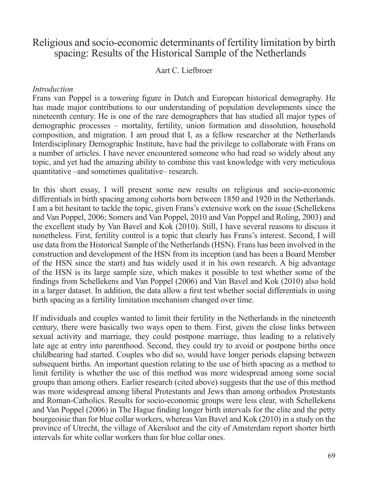# Religious and socio-economic determinants of fertility limitation by birth spacing: Results of the Historical Sample of the Netherlands

### Aart C. Liefbroer

#### *Introduction*

Frans van Poppel is a towering figure in Dutch and European historical demography. He has made major contributions to our understanding of population developments since the nineteenth century. He is one of the rare demographers that has studied all major types of demographic processes – mortality, fertility, union formation and dissolution, household composition, and migration. I am proud that I, as a fellow researcher at the Netherlands Interdisciplinary Demographic Institute, have had the privilege to collaborate with Frans on a number of articles. I have never encountered someone who had read so widely about any topic, and yet had the amazing ability to combine this vast knowledge with very meticulous quantitative –and sometimes qualitative– research.

In this short essay, I will present some new results on religious and socio-economic differentials in birth spacing among cohorts born between 1850 and 1920 in the Netherlands. I am a bit hesitant to tackle the topic, given Frans's extensive work on the issue (Schellekens and Van Poppel, 2006; Somers and Van Poppel, 2010 and Van Poppel and Roling, 2003) and the excellent study by Van Bavel and Kok (2010). Still, I have several reasons to discuss it nonetheless. First, fertility control is a topic that clearly has Frans's interest. Second, I will use data from the Historical Sample of the Netherlands (HSN). Frans has been involved in the construction and development of the HSN from its inception (and has been a Board Member of the HSN since the start) and has widely used it in his own research. A big advantage of the HSN is its large sample size, which makes it possible to test whether some of the findings from Schellekens and Van Poppel (2006) and Van Bavel and Kok (2010) also hold in a larger dataset. In addition, the data allow a first test whether social differentials in using birth spacing as a fertility limitation mechanism changed over time.

If individuals and couples wanted to limit their fertility in the Netherlands in the nineteenth century, there were basically two ways open to them. First, given the close links between sexual activity and marriage, they could postpone marriage, thus leading to a relatively late age at entry into parenthood. Second, they could try to avoid or postpone births once childbearing had started. Couples who did so, would have longer periods elapsing between subsequent births. An important question relating to the use of birth spacing as a method to limit fertility is whether the use of this method was more widespread among some social groups than among others. Earlier research (cited above) suggests that the use of this method was more widespread among liberal Protestants and Jews than among orthodox Protestants and Roman-Catholics. Results for socio-economic groups were less clear, with Schellekens and Van Poppel (2006) in The Hague finding longer birth intervals for the elite and the petty bourgeoisie than for blue collar workers, whereas Van Bavel and Kok (2010) in a study on the province of Utrecht, the village of Akersloot and the city of Amsterdam report shorter birth intervals for white collar workers than for blue collar ones.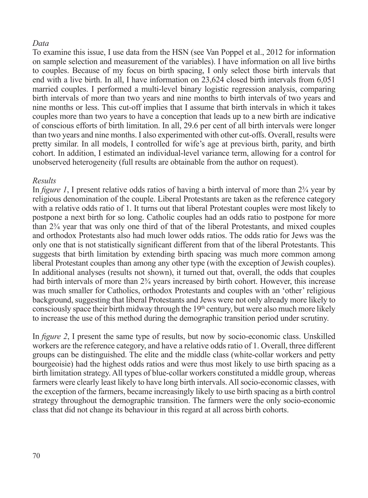### *Data*

To examine this issue, I use data from the HSN (see Van Poppel et al., 2012 for information on sample selection and measurement of the variables). I have information on all live births to couples. Because of my focus on birth spacing, I only select those birth intervals that end with a live birth. In all, I have information on 23,624 closed birth intervals from 6,051 married couples. I performed a multi-level binary logistic regression analysis, comparing birth intervals of more than two years and nine months to birth intervals of two years and nine months or less. This cut-off implies that I assume that birth intervals in which it takes couples more than two years to have a conception that leads up to a new birth are indicative of conscious efforts of birth limitation. In all, 29.6 per cent of all birth intervals were longer than two years and nine months. I also experimented with other cut-offs. Overall, results were pretty similar. In all models, I controlled for wife's age at previous birth, parity, and birth cohort. In addition, I estimated an individual-level variance term, allowing for a control for unobserved heterogeneity (full results are obtainable from the author on request).

#### *Results*

In *figure 1*, I present relative odds ratios of having a birth interval of more than 2¾ year by religious denomination of the couple. Liberal Protestants are taken as the reference category with a relative odds ratio of 1. It turns out that liberal Protestant couples were most likely to postpone a next birth for so long. Catholic couples had an odds ratio to postpone for more than 2¾ year that was only one third of that of the liberal Protestants, and mixed couples and orthodox Protestants also had much lower odds ratios. The odds ratio for Jews was the only one that is not statistically significant different from that of the liberal Protestants. This suggests that birth limitation by extending birth spacing was much more common among liberal Protestant couples than among any other type (with the exception of Jewish couples). In additional analyses (results not shown), it turned out that, overall, the odds that couples had birth intervals of more than  $2\frac{3}{4}$  years increased by birth cohort. However, this increase was much smaller for Catholics, orthodox Protestants and couples with an 'other' religious background, suggesting that liberal Protestants and Jews were not only already more likely to consciously space their birth midway through the  $19<sup>th</sup>$  century, but were also much more likely to increase the use of this method during the demographic transition period under scrutiny.

In *figure 2*, I present the same type of results, but now by socio-economic class. Unskilled workers are the reference category, and have a relative odds ratio of 1. Overall, three different groups can be distinguished. The elite and the middle class (white-collar workers and petty bourgeoisie) had the highest odds ratios and were thus most likely to use birth spacing as a birth limitation strategy. All types of blue-collar workers constituted a middle group, whereas farmers were clearly least likely to have long birth intervals. All socio-economic classes, with the exception of the farmers, became increasingly likely to use birth spacing as a birth control strategy throughout the demographic transition. The farmers were the only socio-economic class that did not change its behaviour in this regard at all across birth cohorts.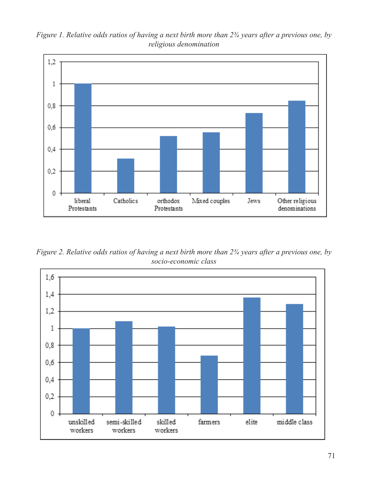



*Figure 2. Relative odds ratios of having a next birth more than 2¾ years after a previous one, by socio-economic class*